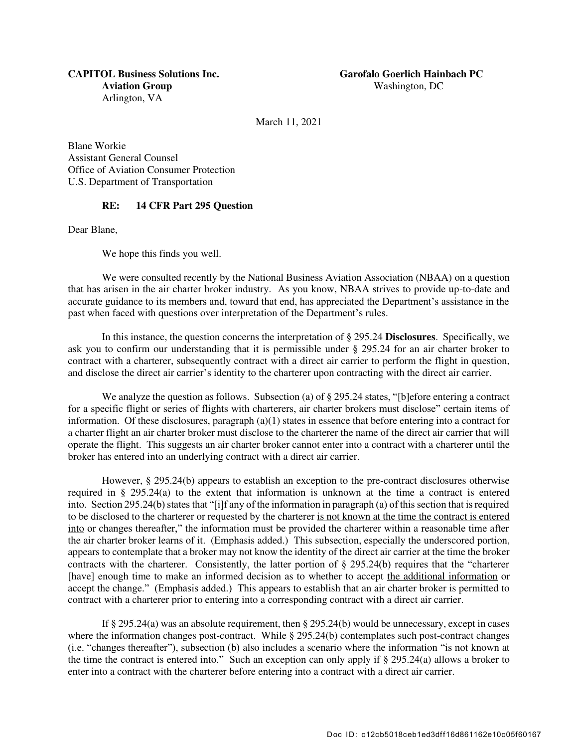March 11, 2021

Blane Workie Assistant General Counsel Office of Aviation Consumer Protection U.S. Department of Transportation

## RE: 14 CFR Part 295 Question

Dear Blane,

We hope this finds you well.

We were consulted recently by the National Business Aviation Association (NBAA) on a question that has arisen in the air charter broker industry. As you know, NBAA strives to provide up-to-date and accurate guidance to its members and, toward that end, has appreciated the Department's assistance in the past when faced with questions over interpretation of the Department's rules.

In this instance, the question concerns the interpretation of § 295.24 Disclosures. Specifically, we ask you to confirm our understanding that it is permissible under § 295.24 for an air charter broker to contract with a charterer, subsequently contract with a direct air carrier to perform the flight in question, and disclose the direct air carrier's identity to the charterer upon contracting with the direct air carrier.

We analyze the question as follows. Subsection (a) of § 295.24 states, "[b]efore entering a contract for a specific flight or series of flights with charterers, air charter brokers must disclose" certain items of information. Of these disclosures, paragraph (a)(1) states in essence that before entering into a contract for a charter flight an air charter broker must disclose to the charterer the name of the direct air carrier that will operate the flight. This suggests an air charter broker cannot enter into a contract with a charterer until the broker has entered into an underlying contract with a direct air carrier.

However, § 295.24(b) appears to establish an exception to the pre-contract disclosures otherwise required in § 295.24(a) to the extent that information is unknown at the time a contract is entered into. Section 295.24(b) states that "[i]f any of the information in paragraph (a) of this section that is required to be disclosed to the charterer or requested by the charterer is not known at the time the contract is entered into or changes thereafter," the information must be provided the charterer within a reasonable time after the air charter broker learns of it. (Emphasis added.) This subsection, especially the underscored portion, appears to contemplate that a broker may not know the identity of the direct air carrier at the time the broker contracts with the charterer. Consistently, the latter portion of  $\S$  295.24(b) requires that the "charterer [have] enough time to make an informed decision as to whether to accept the additional information or accept the change." (Emphasis added.) This appears to establish that an air charter broker is permitted to contract with a charterer prior to entering into a corresponding contract with a direct air carrier.

If § 295.24(a) was an absolute requirement, then § 295.24(b) would be unnecessary, except in cases where the information changes post-contract. While § 295.24(b) contemplates such post-contract changes (i.e. "changes thereafter"), subsection (b) also includes a scenario where the information "is not known at the time the contract is entered into." Such an exception can only apply if § 295.24(a) allows a broker to enter into a contract with the charterer before entering into a contract with a direct air carrier.